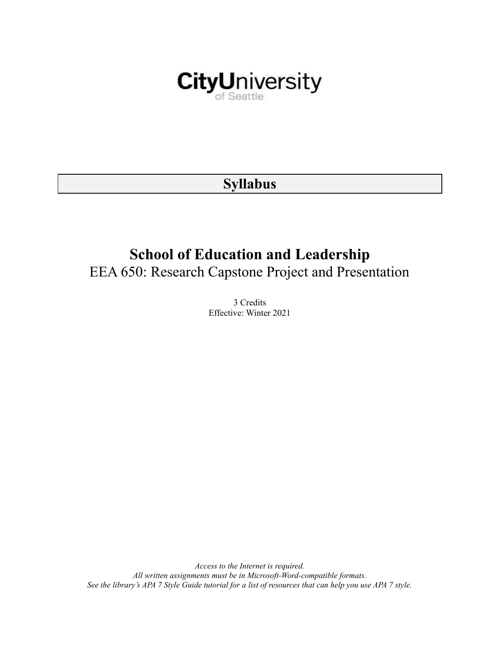

# **Syllabus**

# **School of Education and Leadership** EEA 650: Research Capstone Project and Presentation

3 Credits Effective: Winter 2021

*Access to the Internet is required. All written assignments must be in Microsoft-Word-compatible formats.* See the library's APA 7 Style Guide tutorial for a list of resources that can help you use APA 7 style.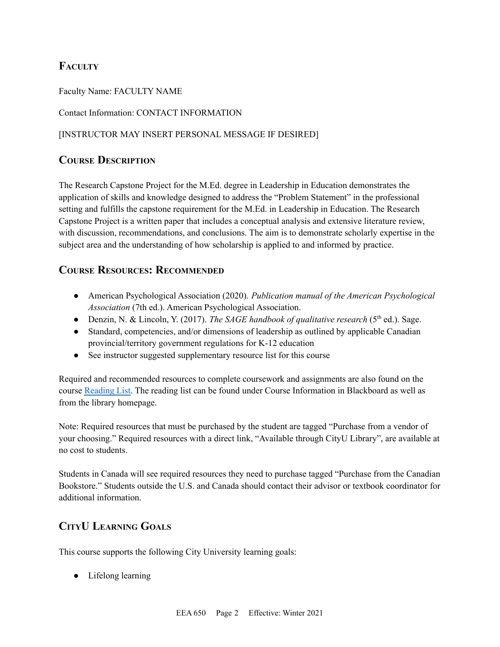# **FACULTY**

Faculty Name: FACULTY NAME

Contact Information: CONTACT INFORMATION

#### [INSTRUCTOR MAY INSERT PERSONAL MESSAGE IF DESIRED]

## **COURSE DESCRIPTION**

The Research Capstone Project for the M.Ed. degree in Leadership in Education demonstrates the application of skills and knowledge designed to address the "Problem Statement" in the professional setting and fulfills the capstone requirement for the M.Ed. in Leadership in Education. The Research Capstone Project is a written paper that includes a conceptual analysis and extensive literature review, with discussion, recommendations, and conclusions. The aim is to demonstrate scholarly expertise in the subject area and the understanding of how scholarship is applied to and informed by practice.

### **COURSE RESOURCES: RECOMMENDED**

- American Psychological Association (2020). *Publication manual of the American Psychological Association* (7th ed.). American Psychological Association.
- Denzin, N. & Lincoln, Y. (2017). *The SAGE handbook of qualitative research* (5<sup>th</sup> ed.). Sage.
- Standard, competencies, and/or dimensions of leadership as outlined by applicable Canadian provincial/territory government regulations for K-12 education
- See instructor suggested supplementary resource list for this course

Required and recommended resources to complete coursework and assignments are also found on the course [Reading](https://nam03.safelinks.protection.outlook.com/?url=https%3A%2F%2Fcityu.alma.exlibrisgroup.com%2Fleganto%2Flogin%3Fauth%3DSAML&data=04%7C01%7CMMara%40cityu.edu%7C70673ce0fe0144040eda08d87472e204%7Cb3fa96d9f5154662add763d854e39e63%7C1%7C0%7C637387384066198115%7CUnknown%7CTWFpbGZsb3d8eyJWIjoiMC4wLjAwMDAiLCJQIjoiV2luMzIiLCJBTiI6Ik1haWwiLCJXVCI6Mn0%3D%7C1000&sdata=JbwP%2Fm5Q%2BMgIUWa%2FXceos%2BoiLv0DX%2B%2FL%2BNGNMbX9P8E%3D&reserved=0) List. The reading list can be found under Course Information in Blackboard as well as from the library homepage.

Note: Required resources that must be purchased by the student are tagged "Purchase from a vendor of your choosing." Required resources with a direct link, "Available through CityU Library", are available at no cost to students.

Students in Canada will see required resources they need to purchase tagged "Purchase from the Canadian Bookstore." Students outside the U.S. and Canada should contact their advisor or textbook coordinator for additional information.

# **CITYU LEARNING GOALS**

This course supports the following City University learning goals:

● Lifelong learning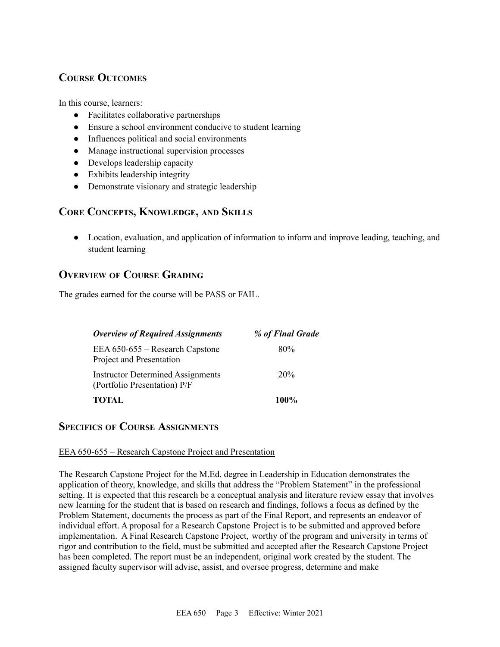# **COURSE OUTCOMES**

In this course, learners:

- Facilitates collaborative partnerships
- Ensure a school environment conducive to student learning
- Influences political and social environments
- Manage instructional supervision processes
- Develops leadership capacity
- Exhibits leadership integrity
- Demonstrate visionary and strategic leadership

### **CORE CONCEPTS, KNOWLEDGE, AND SKILLS**

● Location, evaluation, and application of information to inform and improve leading, teaching, and student learning

## **OVERVIEW OF COURSE GRADING**

The grades earned for the course will be PASS or FAIL.

| <b>Overview of Required Assignments</b>                                  | % of Final Grade |
|--------------------------------------------------------------------------|------------------|
| EEA 650-655 – Research Capstone<br>Project and Presentation              | 80%              |
| <b>Instructor Determined Assignments</b><br>(Portfolio Presentation) P/F | 20%              |
| <b>TOTAL</b>                                                             | 100%             |

### **SPECIFICS OF COURSE ASSIGNMENTS**

#### EEA 650-655 – Research Capstone Project and Presentation

The Research Capstone Project for the M.Ed. degree in Leadership in Education demonstrates the application of theory, knowledge, and skills that address the "Problem Statement" in the professional setting. It is expected that this research be a conceptual analysis and literature review essay that involves new learning for the student that is based on research and findings, follows a focus as defined by the Problem Statement, documents the process as part of the Final Report, and represents an endeavor of individual effort. A proposal for a Research Capstone Project is to be submitted and approved before implementation. A Final Research Capstone Project, worthy of the program and university in terms of rigor and contribution to the field, must be submitted and accepted after the Research Capstone Project has been completed. The report must be an independent, original work created by the student. The assigned faculty supervisor will advise, assist, and oversee progress, determine and make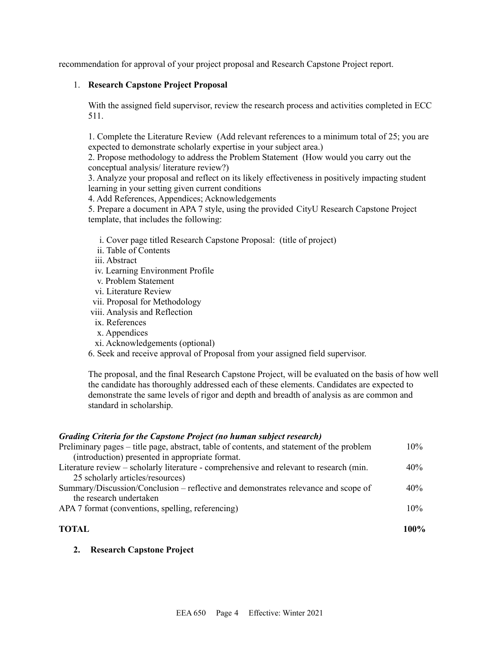recommendation for approval of your project proposal and Research Capstone Project report.

#### 1. **Research Capstone Project Proposal**

With the assigned field supervisor, review the research process and activities completed in ECC 511.

1. Complete the Literature Review (Add relevant references to a minimum total of 25; you are expected to demonstrate scholarly expertise in your subject area.)

2. Propose methodology to address the Problem Statement (How would you carry out the conceptual analysis/ literature review?)

3. Analyze your proposal and reflect on its likely effectiveness in positively impacting student learning in your setting given current conditions

4. Add References, Appendices; Acknowledgements

5. Prepare a document in APA 7 style, using the provided CityU Research Capstone Project template, that includes the following:

- i. Cover page titled Research Capstone Proposal: (title of project)
- ii. Table of Contents
- iii. Abstract
- iv. Learning Environment Profile
- v. Problem Statement
- vi. Literature Review
- vii. Proposal for Methodology
- viii. Analysis and Reflection
- ix. References
- x. Appendices
- xi. Acknowledgements (optional)
- 6. Seek and receive approval of Proposal from your assigned field supervisor.

The proposal, and the final Research Capstone Project, will be evaluated on the basis of how well the candidate has thoroughly addressed each of these elements. Candidates are expected to demonstrate the same levels of rigor and depth and breadth of analysis as are common and standard in scholarship.

#### *Grading Criteria for the Capstone Project (no human subject research)*

| <b>TOTAL</b>                                                                              | $100\%$ |
|-------------------------------------------------------------------------------------------|---------|
| APA 7 format (conventions, spelling, referencing)                                         | 10%     |
| the research undertaken                                                                   |         |
| Summary/Discussion/Conclusion – reflective and demonstrates relevance and scope of        | 40%     |
| 25 scholarly articles/resources)                                                          |         |
| Literature review – scholarly literature - comprehensive and relevant to research (min.   | 40%     |
| (introduction) presented in appropriate format.                                           |         |
| Preliminary pages – title page, abstract, table of contents, and statement of the problem | $10\%$  |

#### **2. Research Capstone Project**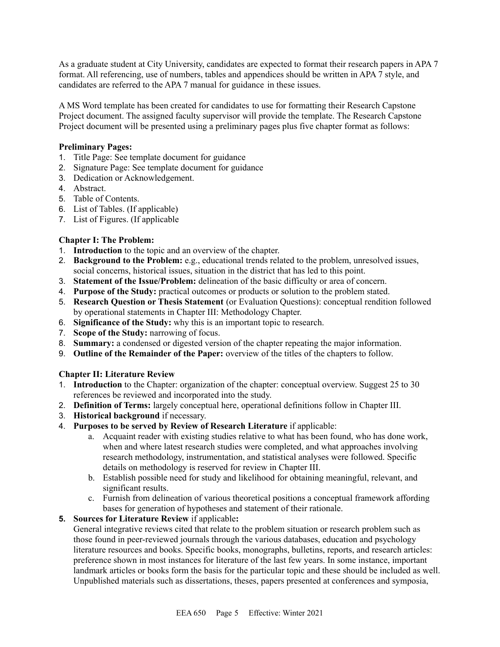As a graduate student at City University, candidates are expected to format their research papers in APA 7 format. All referencing, use of numbers, tables and appendices should be written in APA 7 style, and candidates are referred to the APA 7 manual for guidance in these issues.

A MS Word template has been created for candidates to use for formatting their Research Capstone Project document. The assigned faculty supervisor will provide the template. The Research Capstone Project document will be presented using a preliminary pages plus five chapter format as follows:

#### **Preliminary Pages:**

- 1. Title Page: See template document for guidance
- 2. Signature Page: See template document for guidance
- 3. Dedication or Acknowledgement.
- 4. Abstract.
- 5. Table of Contents.
- 6. List of Tables. (If applicable)
- 7. List of Figures. (If applicable

#### **Chapter I: The Problem:**

- 1. **Introduction** to the topic and an overview of the chapter.
- 2. **Background to the Problem:** e.g., educational trends related to the problem, unresolved issues, social concerns, historical issues, situation in the district that has led to this point.
- 3. **Statement of the Issue/Problem:** delineation of the basic difficulty or area of concern.
- 4. **Purpose of the Study:** practical outcomes or products or solution to the problem stated.
- 5. **Research Question or Thesis Statement** (or Evaluation Questions): conceptual rendition followed by operational statements in Chapter III: Methodology Chapter.
- 6. **Significance of the Study:** why this is an important topic to research.
- 7. **Scope of the Study:** narrowing of focus.
- 8. **Summary:** a condensed or digested version of the chapter repeating the major information.
- 9. **Outline of the Remainder of the Paper:** overview of the titles of the chapters to follow.

#### **Chapter II: Literature Review**

- 1. **Introduction** to the Chapter: organization of the chapter: conceptual overview. Suggest 25 to 30 references be reviewed and incorporated into the study.
- 2. **Definition of Terms:** largely conceptual here, operational definitions follow in Chapter III.
- 3. **Historical background** if necessary.
- 4. **Purposes to be served by Review of Research Literature** if applicable:
	- a. Acquaint reader with existing studies relative to what has been found, who has done work, when and where latest research studies were completed, and what approaches involving research methodology, instrumentation, and statistical analyses were followed. Specific details on methodology is reserved for review in Chapter III.
	- b. Establish possible need for study and likelihood for obtaining meaningful, relevant, and significant results.
	- c. Furnish from delineation of various theoretical positions a conceptual framework affording bases for generation of hypotheses and statement of their rationale.

#### **5. Sources for Literature Review** if applicable**:**

General integrative reviews cited that relate to the problem situation or research problem such as those found in peer-reviewed journals through the various databases, education and psychology literature resources and books. Specific books, monographs, bulletins, reports, and research articles: preference shown in most instances for literature of the last few years. In some instance, important landmark articles or books form the basis for the particular topic and these should be included as well. Unpublished materials such as dissertations, theses, papers presented at conferences and symposia,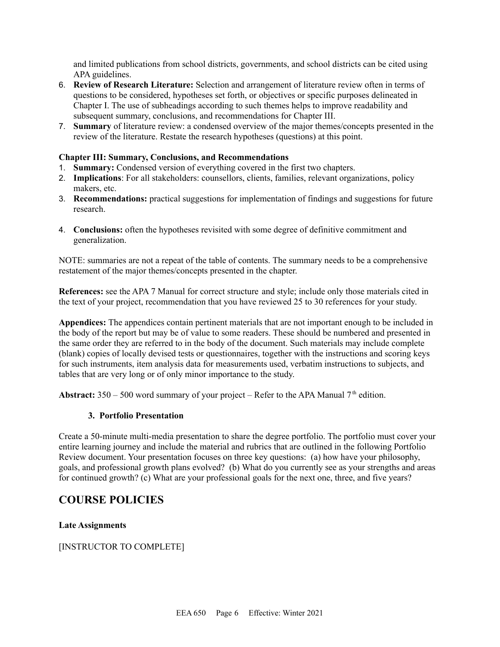and limited publications from school districts, governments, and school districts can be cited using APA guidelines.

- 6. **Review of Research Literature:** Selection and arrangement of literature review often in terms of questions to be considered, hypotheses set forth, or objectives or specific purposes delineated in Chapter I. The use of subheadings according to such themes helps to improve readability and subsequent summary, conclusions, and recommendations for Chapter III.
- 7. **Summary** of literature review: a condensed overview of the major themes/concepts presented in the review of the literature. Restate the research hypotheses (questions) at this point.

#### **Chapter III: Summary, Conclusions, and Recommendations**

- 1. **Summary:** Condensed version of everything covered in the first two chapters.
- 2. **Implications**: For all stakeholders: counsellors, clients, families, relevant organizations, policy makers, etc.
- 3. **Recommendations:** practical suggestions for implementation of findings and suggestions for future research.
- 4. **Conclusions:** often the hypotheses revisited with some degree of definitive commitment and generalization.

NOTE: summaries are not a repeat of the table of contents. The summary needs to be a comprehensive restatement of the major themes/concepts presented in the chapter.

**References:** see the APA 7 Manual for correct structure and style; include only those materials cited in the text of your project, recommendation that you have reviewed 25 to 30 references for your study.

**Appendices:** The appendices contain pertinent materials that are not important enough to be included in the body of the report but may be of value to some readers. These should be numbered and presented in the same order they are referred to in the body of the document. Such materials may include complete (blank) copies of locally devised tests or questionnaires, together with the instructions and scoring keys for such instruments, item analysis data for measurements used, verbatim instructions to subjects, and tables that are very long or of only minor importance to the study.

**Abstract:**  $350 - 500$  word summary of your project – Refer to the APA Manual  $7<sup>th</sup>$  edition.

#### **3. Portfolio Presentation**

Create a 50-minute multi-media presentation to share the degree portfolio. The portfolio must cover your entire learning journey and include the material and rubrics that are outlined in the following Portfolio Review document. Your presentation focuses on three key questions: (a) how have your philosophy, goals, and professional growth plans evolved? (b) What do you currently see as your strengths and areas for continued growth? (c) What are your professional goals for the next one, three, and five years?

# **COURSE POLICIES**

**Late Assignments**

[INSTRUCTOR TO COMPLETE]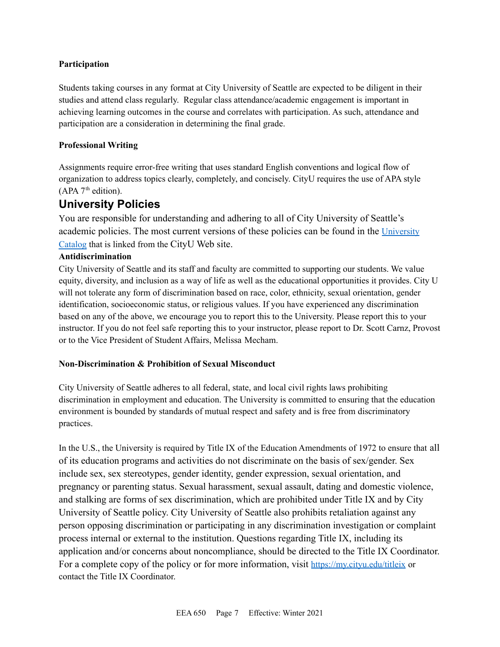#### **Participation**

Students taking courses in any format at City University of Seattle are expected to be diligent in their studies and attend class regularly. Regular class attendance/academic engagement is important in achieving learning outcomes in the course and correlates with participation. As such, attendance and participation are a consideration in determining the final grade.

#### **Professional Writing**

Assignments require error-free writing that uses standard English conventions and logical flow of organization to address topics clearly, completely, and concisely. CityU requires the use of APA style  $(APA 7<sup>th</sup> edition).$ 

# **University Policies**

You are responsible for understanding and adhering to all of City University of Seattle's academic policies. The most current versions of these policies can be found in the [University](https://www.cityu.edu/catalog/) [Catalog](https://www.cityu.edu/catalog/) that is linked from the CityU Web site.

#### **Antidiscrimination**

City University of Seattle and its staff and faculty are committed to supporting our students. We value equity, diversity, and inclusion as a way of life as well as the educational opportunities it provides. City U will not tolerate any form of discrimination based on race, color, ethnicity, sexual orientation, gender identification, socioeconomic status, or religious values. If you have experienced any discrimination based on any of the above, we encourage you to report this to the University. Please report this to your instructor. If you do not feel safe reporting this to your instructor, please report to Dr. Scott Carnz, Provost or to the Vice President of Student Affairs, Melissa Mecham.

#### **Non-Discrimination & Prohibition of Sexual Misconduct**

City University of Seattle adheres to all federal, state, and local civil rights laws prohibiting discrimination in employment and education. The University is committed to ensuring that the education environment is bounded by standards of mutual respect and safety and is free from discriminatory practices.

In the U.S., the University is required by Title IX of the Education Amendments of 1972 to ensure that all of its education programs and activities do not discriminate on the basis of sex/gender. Sex include sex, sex stereotypes, gender identity, gender expression, sexual orientation, and pregnancy or parenting status. Sexual harassment, sexual assault, dating and domestic violence, and stalking are forms of sex discrimination, which are prohibited under Title IX and by City University of Seattle policy. City University of Seattle also prohibits retaliation against any person opposing discrimination or participating in any discrimination investigation or complaint process internal or external to the institution. Questions regarding Title IX, including its application and/or concerns about noncompliance, should be directed to the Title IX Coordinator. For a complete copy of the policy or for more information, visit <https://my.cityu.edu/titleix> or contact the Title IX Coordinator.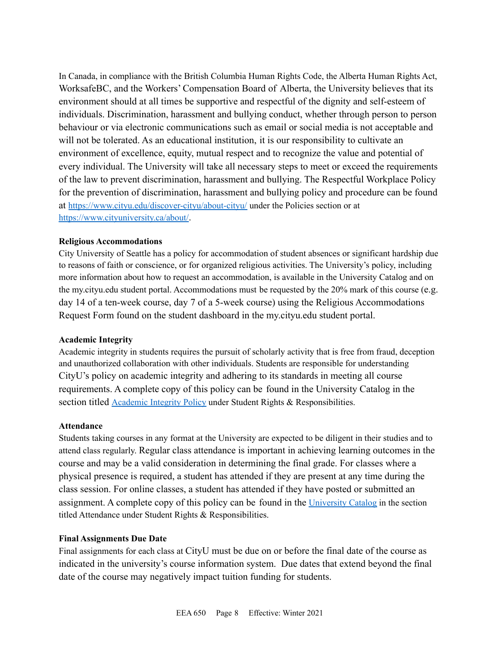In Canada, in compliance with the British Columbia Human Rights Code, the Alberta Human Rights Act, WorksafeBC, and the Workers' Compensation Board of Alberta, the University believes that its environment should at all times be supportive and respectful of the dignity and self-esteem of individuals. Discrimination, harassment and bullying conduct, whether through person to person behaviour or via electronic communications such as email or social media is not acceptable and will not be tolerated. As an educational institution, it is our responsibility to cultivate an environment of excellence, equity, mutual respect and to recognize the value and potential of every individual. The University will take all necessary steps to meet or exceed the requirements of the law to prevent discrimination, harassment and bullying. The Respectful Workplace Policy for the prevention of discrimination, harassment and bullying policy and procedure can be found at <https://www.cityu.edu/discover-cityu/about-cityu/> under the Policies section or at <https://www.cityuniversity.ca/about/>.

#### **Religious Accommodations**

City University of Seattle has a policy for accommodation of student absences or significant hardship due to reasons of faith or conscience, or for organized religious activities. The University's policy, including more information about how to request an accommodation, is available in the University Catalog and on the my.cityu.edu student portal. Accommodations must be requested by the 20% mark of this course (e.g. day 14 of a ten-week course, day 7 of a 5-week course) using the Religious Accommodations Request Form found on the student dashboard in the my.cityu.edu student portal.

#### **Academic Integrity**

Academic integrity in students requires the pursuit of scholarly activity that is free from fraud, deception and unauthorized collaboration with other individuals. Students are responsible for understanding CityU's policy on academic integrity and adhering to its standards in meeting all course requirements. A complete copy of this policy can be found in the University Catalog in the section titled [Academic](https://www.cityu.edu/catalog/;) Integrity Policy under Student Rights & Responsibilities.

#### **Attendance**

Students taking courses in any format at the University are expected to be diligent in their studies and to attend class regularly. Regular class attendance is important in achieving learning outcomes in the course and may be a valid consideration in determining the final grade. For classes where a physical presence is required, a student has attended if they are present at any time during the class session. For online classes, a student has attended if they have posted or submitted an assignment. A complete copy of this policy can be found in the [University](https://www.cityu.edu/catalog/;) Catalog in the section titled Attendance under Student Rights & Responsibilities.

#### **Final Assignments Due Date**

Final assignments for each class at CityU must be due on or before the final date of the course as indicated in the university's course information system. Due dates that extend beyond the final date of the course may negatively impact tuition funding for students.